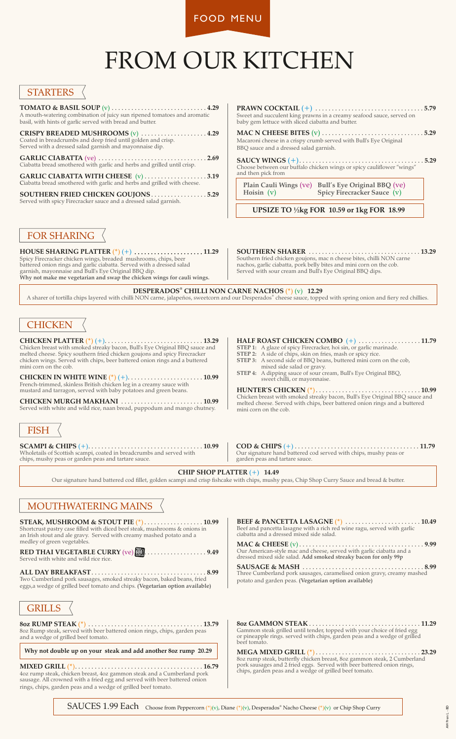FOOD MENU

# FROM OUR KITCHEN

#### **STARTERS**

**TOMATO & BASIL SOUP** (v) . . . . . . . . . . . . . . . . . . . . . . . . . . . . . **4.29** A mouth-watering combination of juicy sun ripened tomatoes and aromatic basil, with hints of garlic served with bread and butter.

**CRISPY BREADED MUSHROOMS** (v) . . . . . . . . . . . . . . . . . . . . **4.29** Coated in breadcrumbs and deep fried until golden and crisp. Served with a dressed salad garnish and mayonnaise dip.

**GARLIC CIABATTA** (ve) . . . . . . . . . . . . . . . . . . . . . . . . . . . . . . . . . **2.69** Ciabatta bread smothered with garlic and herbs and grilled until crisp.

**GARLIC CIABATTA WITH CHEESE** (v) . . . . . . . . . . . . . . . . . . . **3.19** Ciabatta bread smothered with garlic and herbs and grilled with cheese.

**SOUTHERN FRIED CHICKEN GOUJONS** . . . . . . . . . . . . . . . . . **5.29** Served with spicy Firecracker sauce and a dressed salad garnish.

**PRAWN COCKTAIL** (+) . . . . . . . . . . . . . . . . . . . . . . . . . . . . . . . . . **5.79** Sweet and succulent king prawns in a creamy seafood sauce, served on baby gem lettuce with sliced ciabatta and butter.

**MAC N CHEESE BITES** (v) . . . . . . . . . . . . . . . . . . . . . . . . . . . . . . . **5.29** Macaroni cheese in a crispy crumb served with Bull's Eye Original BBQ sauce and a dressed salad garnish.

**SAUCY WINGS** (+). . . . . . . . . . . . . . . . . . . . . . . . . . . . . . . . . . . . . . **5.29** Choose between our buffalo chicken wings or spicy cauliflower "wings" and then pick from

**Plain Cauli Wings** (ve) **Bull's Eye Original BBQ** (ve) **Spicy Firecracker Sauce** (v)

 **UPSIZE TO ½kg FOR 10.59 or 1kg FOR 18.99**

## FOR SHARING

**HOUSE SHARING PLATTER** (\*) (+) . . . . . . . . . . . . . . . . . . . . . **11.29** Spicy Firecracker chicken wings, breaded mushrooms, chips, beer battered onion rings and garlic ciabatta. Served with a dressed salad garnish, mayonnaise and Bull's Eye Original BBQ dip. **Why not make me vegetarian and swap the chicken wings for cauli wings.**

#### **SOUTHERN SHARER** . . . . . . . . . . . . . . . . . . . . . . . . . . . . . . . . . . **13.29**

Southern fried chicken goujons, mac n cheese bites, chilli NON carne nachos, garlic ciabatta, pork belly bites and mini corn on the cob. Served with sour cream and Bull's Eye Original BBQ dips.

**® DESPERADOS CHILLI NON CARNE NACHOS** (\*) (v) **12.29**

A sharer of tortilla chips layered with chilli NON carne, jalapeños, sweetcorn and our Desperados® cheese sauce, topped with spring onion and fiery red chillies.

## **CHICKEN**

**CHICKEN PLATTER** (\*) (+). . . . . . . . . . . . . . . . . . . . . . . . . . . . . . **13.29** Chicken breast with smoked streaky bacon, Bull's Eye Original BBQ sauce and melted cheese. Spicy southern fried chicken goujons and spicy Firecracker chicken wings. Served with chips, beer battered onion rings and a buttered mini corn on the cob.

**CHICKEN IN WHITE WINE** (\*) (+). . . . . . . . . . . . . . . . . . . . . . . **10.99** French-trimmed, skinless British chicken leg in a creamy sauce with mustard and tarragon, served with baby potatoes and green beans.

**CHICKEN MURGH MAKHANI** . . . . . . . . . . . . . . . . . . . . . . . . . **10.99** Served with white and wild rice, naan bread, puppodum and mango chutney.

# **FISH**

**SCAMPI & CHIPS** (+). . . . . . . . . . . . . . . . . . . . . . . . . . . . . . . . . . . **10.99** Wholetails of Scottish scampi, coated in breadcrumbs and served with chips, mushy peas or garden peas and tartare sauce.

- **HALF ROAST CHICKEN COMBO** (+) . . . . . . . . . . . . . . . . . . . **11.79**
- **STEP 1:** A glaze of spicy Firecracker, hoi sin, or garlic marinade.
- **STEP 2:** A side of chips, skin on fries, mash or spicy rice.
- **STEP 3:** A second side of BBQ beans, buttered mini corn on the cob, mixed side salad or gravy.
- **STEP 4:** A dipping sauce of sour cream, Bull's Eye Original BBQ, sweet chilli, or mayonnaise.

**HUNTER'S CHICKEN** (\*). . . . . . . . . . . . . . . . . . . . . . . . . . . . . . . . **10.99**  Chicken breast with smoked streaky bacon, Bull's Eye Original BBQ sauce and melted cheese. Served with chips, beer battered onion rings and a buttered mini corn on the cob.

**COD & CHIPS** (+) . . . . . . . . . . . . . . . . . . . . . . . . . . . . . . . . . . . . . . **11.79** Our signature hand battered cod served with chips, mushy peas or garden peas and tartare sauce.

#### **CHIP SHOP PLATTER** (+) **14.49**

Our signature hand battered cod fillet, golden scampi and crisp fishcake with chips, mushy peas, Chip Shop Curry Sauce and bread & butter.

## MOUTHWATERING MAINS

**STEAK, MUSHROOM & STOUT PIE** (\*). . . . . . . . . . . . . . . . . . **10.99** Shortcrust pastry case filled with diced beef steak, mushrooms & onions in an Irish stout and ale gravy. Served with creamy mashed potato and a medley of green vegetables.

**RED THAI VEGETABLE CURRY** (ve) **[10]** . . . . . . . . . . . . . . . . . . 9.49 Served with white and wild rice rice. CALORIES

**ALL DAY BREAKFAST**. . . . . . . . . . . . . . . . . . . . . . . . . . . . . . . . . . . **8.99**

Two Cumberland pork sausages, smoked streaky bacon, baked beans, fried eggs,a wedge of grilled beef tomato and chips. **(Vegetarian option available)**



**8oz RUMP STEAK** (\*) . . . . . . . . . . . . . . . . . . . . . . . . . . . . . . . . . . . **13.79** 8oz Rump steak, served with beer battered onion rings, chips, garden peas and a wedge of grilled beef tomato.

**Why not double up on your steak and add another 8oz rump 20.29**

**MIXED GRILL** (\*). . . . . . . . . . . . . . . . . . . . . . . . . . . . . . . . . . . . . . . **16.79** 4oz rump steak, chicken breast, 4oz gammon steak and a Cumberland pork sausage. All crowned with a fried egg and served with beer battered onion rings, chips, garden peas and a wedge of grilled beef tomato.

**BEEF & PANCETTA LASAGNE** (\*) . . . . . . . . . . . . . . . . . . . . . . . **10.49** Beef and pancetta lasagne with a rich red wine ragu, served with garlic ciabatta and a dressed mixed side salad.

**MAC & CHEESE** (v) . . . . . . . . . . . . . . . . . . . . . . . . . . . . . . . . . . . . . . **9.99** Our American-style mac and cheese, served with garlic ciabatta and a dressed mixed side salad. **Add smoked streaky bacon for only 99p**

**SAUSAGE & MASH** . . . . . . . . . . . . . . . . . . . . . . . . . . . . . . . . . . . . . **8.99** Three Cumberland pork sausages, caramelised onion gravy, creamy mashed potato and garden peas. **(Vegetarian option available)**

**8oz GAMMON STEAK** . . . . . . . . . . . . . . . . . . . . . . . . . . . . . . . . . . **11.29** Gammon steak grilled until tender, topped with your choice of fried egg or pineapple rings. served with chips, garden peas and a wedge of grilled beef tomato.

**MEGA MIXED GRILL** (\*) . . . . . . . . . . . . . . . . . . . . . . . . . . . . . . . . **23.29** 8oz rump steak, butterfly chicken breast, 8oz gammon steak, 2 Cumberland pork sausages and 2 fried eggs. Served with beer battered onion rings, chips, garden peas and a wedge of grilled beef tomato.

SAUCES 1.99 Each Choose from Peppercorn (\*)(v), Diane (\*)(v), Desperados<sup>®</sup> Nacho Cheese (\*)(v) or Chip Shop Curry